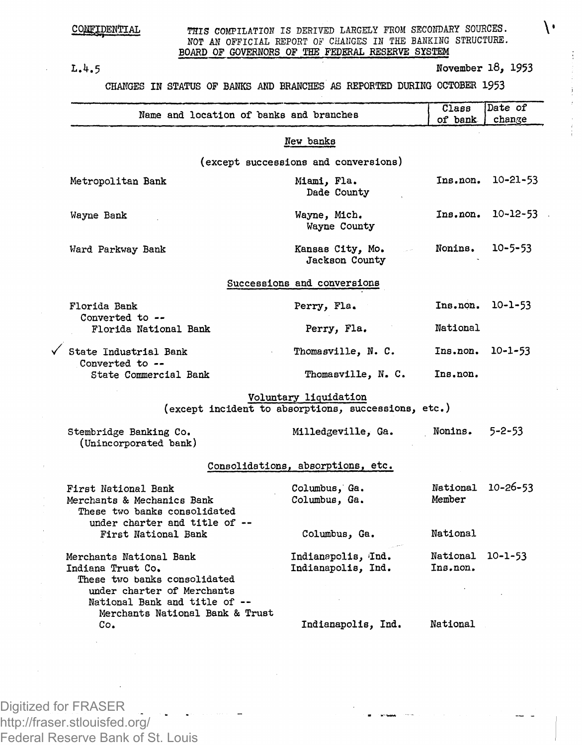## CONFIDENTIAL

THIS COMPILATION IS DERIVED LARGELY FROM SECONDARY SOURCES.  $\setminus$ *NOT AN* OFFICIAL REPORT OF CHANGES IN THE BANKING STRUCTURE. **BOARD OF GOVERNORS OF THE FEDERAL RESERVE SYSTEM**

 $\checkmark$ 

**L.4.5 November 18, 1953**

**CHANGES IN STATUS OF BANKS AND BRANCHES AS REPORTED DURING OCTOBER 1953**

| Name and location of banks and branches                                                                                                     |                                                                              | Class<br>of bank     | Date of<br>change |
|---------------------------------------------------------------------------------------------------------------------------------------------|------------------------------------------------------------------------------|----------------------|-------------------|
|                                                                                                                                             | New banks                                                                    |                      |                   |
|                                                                                                                                             | (except successions and conversions)                                         |                      |                   |
| Metropolitan Bank                                                                                                                           | Miami, Fla.<br>Dade County                                                   | Ins.non.             | $10 - 21 - 53$    |
| Wayne Bank                                                                                                                                  | Wayne, Mich.<br>Wayne County                                                 | Ins.non.             | $10 - 12 - 53$    |
| Ward Parkway Bank                                                                                                                           | Kansas City, Mo.<br>Jackson County                                           | Nonins.              | 10-5-53           |
|                                                                                                                                             | Successions and conversions                                                  |                      |                   |
| Florida Bank                                                                                                                                | Perry, Fla.                                                                  | Ins.non.             | 10-1-53           |
| Converted to --<br>Florida National Bank                                                                                                    | Perry, Fla.                                                                  | National             |                   |
| State Industrial Bank                                                                                                                       | Thomasville, N. C.                                                           | Ins.non.             | $10 - 1 - 53$     |
| Converted to --<br>State Commercial Bank                                                                                                    | Thomasville, N. C.                                                           | Ins.non.             |                   |
|                                                                                                                                             | Voluntary liquidation<br>(except incident to absorptions, successions, etc.) |                      |                   |
| Stembridge Banking Co.<br>(Unincorporated bank)                                                                                             | Milledgeville, Ga.                                                           | Nonins.              | $5 - 2 - 53$      |
|                                                                                                                                             | Consolidations, absorptions, etc.                                            |                      |                   |
| First National Bank<br>Merchants & Mechanics Bank<br>These two banks consolidated<br>under charter and title of --                          | Columbus, Ga.<br>Columbus, Ga.                                               | National<br>Member   | 10-26-53          |
| First National Bank                                                                                                                         | Columbus, Ga.                                                                | National             |                   |
| Merchants National Bank<br>Indiana Trust Co.<br>These two banks consolidated<br>under charter of Merchants<br>National Bank and title of -- | Indianapolis, Ind.<br>Indianapolis, Ind.                                     | National<br>Ins.non. | $10 - 1 - 53$     |
| Merchants National Bank & Trust<br>Co.                                                                                                      | Indianapolis, Ind.                                                           | National             |                   |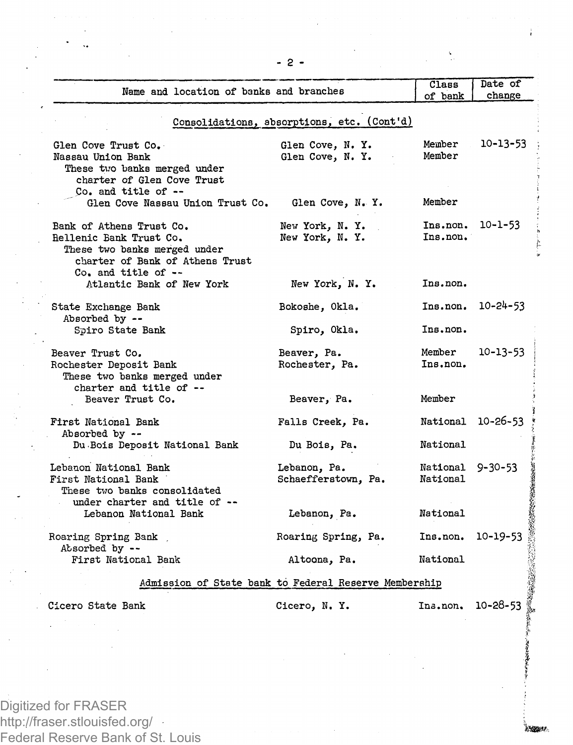| Name and location of banks and branches                                                                                                          |                                                       | Class<br>of bank              | Date of<br>change |
|--------------------------------------------------------------------------------------------------------------------------------------------------|-------------------------------------------------------|-------------------------------|-------------------|
|                                                                                                                                                  | Consolidations, absorptions, etc. (Cont'd)            |                               |                   |
| Glen Cove Trust Co.<br>Nassau Union Bank<br>These two banks merged under<br>charter of Glen Cove Trust                                           | Glen Cove, N. Y.<br>Glen Cove, N. Y.                  | Member<br>Member              | 10-13-53          |
| Co. and title of --<br>Glen Cove Nassau Union Trust Co.                                                                                          | Glen Cove, N. Y.                                      | Member                        |                   |
| Bank of Athens Trust Co.<br>Rellenic Bank Trust Co.<br>These two banks merged under<br>charter of Bank of Athens Trust<br>$Co.$ and title of $-$ | New York, N.Y.<br>New York, N.Y.                      | Ins. non. 10-1-53<br>Ins.non. |                   |
| Atlantic Bank of New York                                                                                                                        | New York, N. Y.                                       | Ins.non.                      |                   |
| State Exchange Bank<br>Absorbed by --                                                                                                            | Bokoshe, Okla.                                        |                               | Ins.non. 10-24-53 |
| Spiro State Bank                                                                                                                                 | Spiro, Okla.                                          | Ins.non.                      |                   |
| Beaver Trust Co.<br>Rochester Deposit Bank<br>These two banks merged under<br>charter and title of --                                            | Beaver, Pa.<br>Rochester, Pa.                         | Member<br>Ins.non.            | 10-13-53          |
| Beaver Trust Co.                                                                                                                                 | Beaver, Pa.                                           | Member                        |                   |
| First National Bank<br>Absorbed by --                                                                                                            | Falls Creek, Pa.                                      | National 10-26-53             |                   |
| Du Bois Deposit National Bank                                                                                                                    | Du Bois, Pa.                                          | National                      |                   |
| Lebanon National Bank<br>First National Bank<br>These two banks consolidated<br>under charter and title of --                                    | Lebanon, Pa.<br>Schaefferstown, Pa.                   | National 9-30-53<br>National  |                   |
| Lebanon National Bank                                                                                                                            | Lebanon, Pa.                                          | National                      |                   |
| Roaring Spring Bank<br>Absorbed by --                                                                                                            | Roaring Spring, Pa.                                   | Ins.non.                      | $10 - 19 - 53$    |
| First National Bank                                                                                                                              | Altoona, Pa.                                          | National                      |                   |
|                                                                                                                                                  | Admission of State bank to Federal Reserve Membership |                               |                   |
| Cicero State Bank                                                                                                                                | Cicero, N.Y.                                          | Ins.non.                      | 10-28-53          |

**School**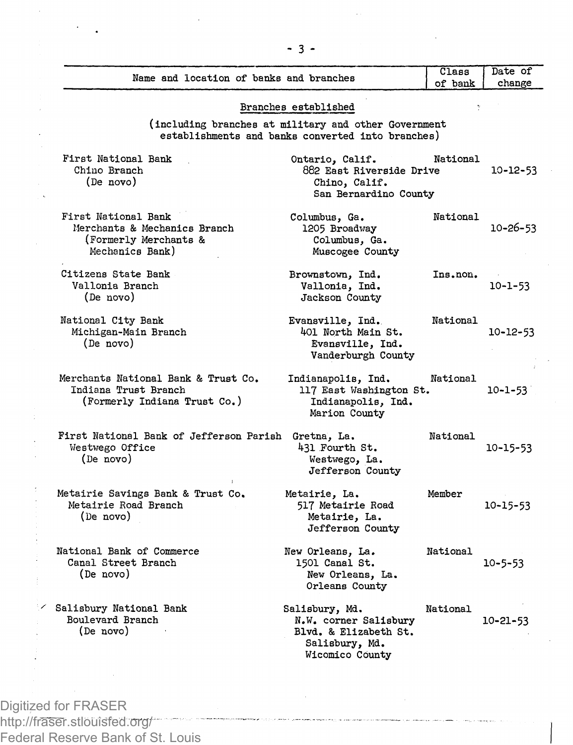|                                                                                                 |                                                                                                                                   | Class    | Date of        |
|-------------------------------------------------------------------------------------------------|-----------------------------------------------------------------------------------------------------------------------------------|----------|----------------|
| Name and location of banks and branches                                                         |                                                                                                                                   | of bank  | change         |
|                                                                                                 | Branches established<br>(including branches at military and other Government<br>establishments and banks converted into branches) |          |                |
| First National Bank<br>Chino Branch<br>(De novo)                                                | Ontario, Calif.<br>882 East Riverside Drive<br>Chino, Calif.<br>San Bernardino County                                             | National | $10 - 12 - 53$ |
| First National Bank<br>Merchants & Mechanics Branch<br>(Formerly Merchants &<br>Mechanics Bank) | Columbus, Ga.<br>1205 Broadway<br>Columbus, Ga.<br>Muscogee County                                                                | National | 10-26-53       |
| Citizens State Bank<br>Vallonia Branch<br>(De novo)                                             | Brownstown, Ind.<br>Vallonia, Ind.<br>Jackson County                                                                              | Ins.non. | $10 - 1 - 53$  |
| National City Bank<br>Michigan-Main Branch<br>(De novo)                                         | Evansville, Ind.<br>401 North Main St.<br>Evansville, Ind.<br>Vanderburgh County                                                  | National | 10-12-53       |
| Merchants National Bank & Trust Co.<br>Indiana Trust Branch<br>(Formerly Indiana Trust Co.)     | Indianapolis, Ind.<br>117 East Washington St.<br>Indianapolis, Ind.<br>Marion County                                              | National | 10-1-53        |
| First National Bank of Jefferson Parish<br>Westwego Office<br>(De novo)                         | Gretna, La.<br>431 Fourth St.<br>Westwego, La.<br>Jefferson County                                                                | National | 10-15-53       |
| Metairie Savings Bank & Trust Co.<br>Metairie Road Branch<br>(De novo)                          | Metairie, La.<br>517 Metairie Road<br>Metairie, La.<br>Jefferson County                                                           | Member   | 10-15-53       |
| National Bank of Commerce<br>Canal Street Branch<br>(De novo)                                   | New Orleans, La.<br>1501 Canal St.<br>New Orleans, La.<br>Orleans County                                                          | National | 10-5-53        |
| Salisbury National Bank<br>Boulevard Branch<br>(De novo)                                        | Salisbury, Md.<br>N.W. corner Salisbury<br>Blvd. & Elizabeth St.<br>Salisbury, Md.<br>Wicomico County                             | National | 10-21-53       |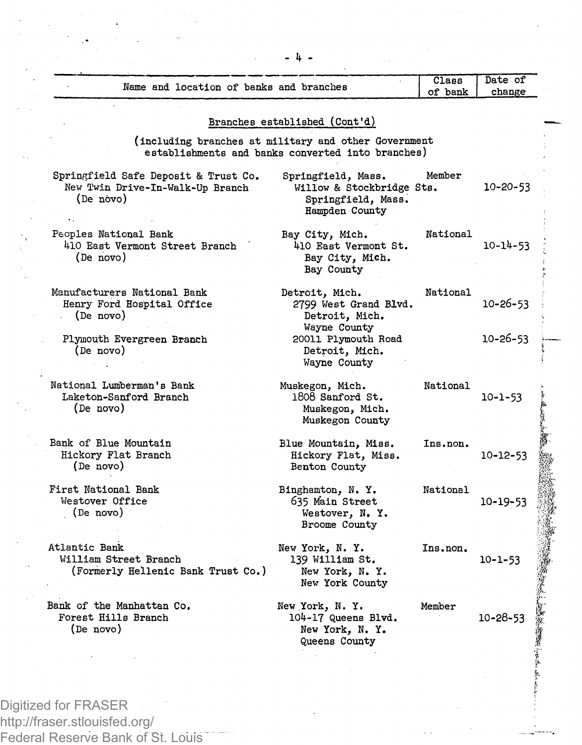| Name and location of banks and branches                                               |                                                                                                           | Class<br>of bank | Date of<br>change |
|---------------------------------------------------------------------------------------|-----------------------------------------------------------------------------------------------------------|------------------|-------------------|
|                                                                                       | Branches established (Cont'd)                                                                             |                  |                   |
|                                                                                       | (including branches at military and other Government<br>establishments and banks converted into branches) |                  |                   |
| Springfield Safe Deposit & Trust Co.<br>New Twin Drive-In-Walk-Up Branch<br>(De novo) | Springfield, Mass.<br>Willow & Stockbridge Sts.<br>Springfield, Mass.<br>Hampden County                   | Member           | $10 - 20 - 53$    |
| Peoples National Bank<br>410 East Vermont Street Branch<br>(De novo)                  | Bay City, Mich.<br>410 East Vermont St.<br>Bay City, Mich.<br>Bay County                                  | National         | $10 - 14 - 53$    |
| Manufacturers National Bank<br>Henry Ford Hospital Office<br>(De novo)                | Detroit, Mich.<br>2799 West Grand Blvd.<br>Detroit, Mich.                                                 | National         | 10-26-53          |
| Plymouth Evergreen Branch<br>(De novo)                                                | Wayne County<br>20011 Plymouth Road<br>Detroit, Mich.<br>Wayne County                                     |                  | $10 - 26 - 53$    |
| National Lumberman's Bank<br>Laketon-Sanford Branch<br>(De novo)                      | Muskegon, Mich.<br>1808 Sanford St.<br>Muskegon, Mich.<br>Muskegon County                                 | National         | $10 - 1 - 53$     |
| Bank of Blue Mountain<br>Hickory Flat Branch<br>(De novo)                             | Blue Mountain, Miss.<br>Hickory Flat, Miss.<br>Benton County                                              | Ins.non.         | $10 - 12 - 53$    |
| First National Bank<br>Westover Office<br>(De novo)                                   | Binghamton, N.Y.<br>635 Main Street<br>Westover, N. Y.<br>Broome County                                   | National         | $10 - 19 - 53$    |
| Atlantic Bank<br>William Street Branch<br>(Formerly Hellenic Bank Trust Co.)          | New York, N.Y.<br>139 William St.<br>New York, N. Y.<br>New York County                                   | Ins.non.         | $10 - 1 - 53$     |
| Bank of the Manhattan Co.<br>Forest Hills Branch<br>(De novo)                         | New York, N.Y.<br>104-17 Queens Blvd.<br>New York, N. Y.<br>Queens County                                 | Member           | $10 - 28 - 53$    |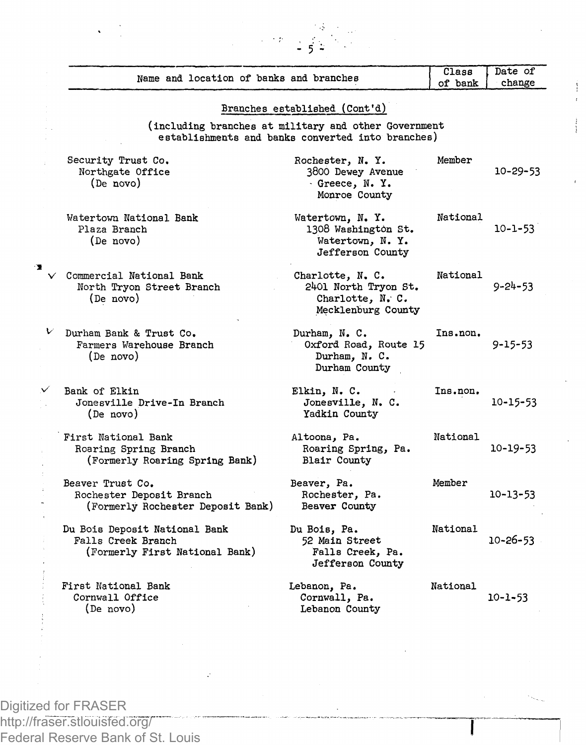|               | Name and location of banks and branches                                               |                                                                                                           | Class<br>of bank | Date of<br>change |
|---------------|---------------------------------------------------------------------------------------|-----------------------------------------------------------------------------------------------------------|------------------|-------------------|
|               |                                                                                       | Branches established (Cont'd)                                                                             |                  |                   |
|               |                                                                                       | (including branches at military and other Government<br>establishments and banks converted into branches) |                  |                   |
|               | Security Trust Co.<br>Northgate Office<br>(De novo)                                   | Rochester, N. Y.<br>3800 Dewey Avenue<br>Greece, N.Y.<br>Monroe County                                    | Member           | $10 - 29 - 53$    |
|               | Watertown National Bank<br>Plaza Branch<br>(De novo)                                  | Watertown, N.Y.<br>1308 Washington St.<br>Watertown, N.Y.<br>Jefferson County                             | National         | 10-1-53           |
|               | Commercial National Bank<br>North Tryon Street Branch<br>(De novo)                    | Charlotte, N. C.<br>2401 North Tryon St.<br>Charlotte, N. C.<br>Mecklenburg County                        | National         | $9 - 24 - 53$     |
| v             | Durham Bank & Trust Co.<br>Farmers Warehouse Branch<br>(De novo)                      | Durham, N.C.<br>Oxford Road, Route 15<br>Durham. N. C.<br>Durham County                                   | Ins.non.         | 9-15-53           |
| Bank of Elkin | Jonesville Drive-In Branch<br>(De novo)                                               | Elkin, N. C.<br>Jonesville, N. C.<br>Yadkin County                                                        | Ins.non.         | $10 - 15 - 53$    |
|               | First National Bank<br>Roaring Spring Branch<br>(Formerly Roaring Spring Bank)        | Altoona, Pa.<br>Roaring Spring, Pa.<br>Blair County                                                       | National         | 10-19-53          |
|               | Beaver Trust Co.<br>Rochester Deposit Branch<br>(Formerly Rochester Deposit Bank)     | Beaver, Pa.<br>Rochester, Pa.<br>Beaver County                                                            | Member           | 10-13-53          |
|               | Du Bois Deposit National Bank<br>Falls Creek Branch<br>(Formerly First National Bank) | Du Bois, Pa.<br>52 Main Street<br>Falls Creek, Pa.<br>Jefferson County                                    | National         | $10 - 26 - 53$    |
|               | First National Bank<br>Cornwall Office<br>(De novo)                                   | Lebanon, Pa.<br>Cornwall, Pa.<br>Lebanon County                                                           | National         | $10 - 1 - 53$     |
|               |                                                                                       |                                                                                                           |                  |                   |

 $\rightarrow$   $\pm$ 

ξŠ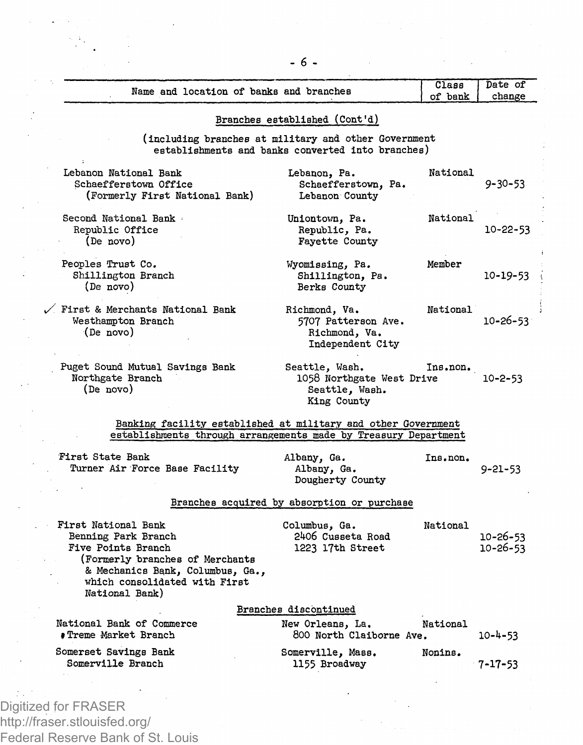| Name and location of banks and branches                                                                                                                                                  |                                                                              | Class<br>of bank | Date of<br>change          |  |
|------------------------------------------------------------------------------------------------------------------------------------------------------------------------------------------|------------------------------------------------------------------------------|------------------|----------------------------|--|
|                                                                                                                                                                                          | Branches established (Cont'd)                                                |                  |                            |  |
| (including branches at military and other Government<br>establishments and banks converted into branches)                                                                                |                                                                              |                  |                            |  |
| Lebanon National Bank<br>Schaefferstown Office<br>(Formerly First National Bank)                                                                                                         | Lebanon, Pa.<br>Schaefferstown, Pa.<br>Lebanon County                        | National         | $9 - 30 - 53$              |  |
| Second National Bank<br>Republic Office<br>(De novo)                                                                                                                                     | Uniontown, Pa.<br>Republic, Pa.<br>Favette County                            | National         | $10 - 22 - 53$             |  |
| Peoples Trust Co.<br>Shillington Branch<br>(De novo)                                                                                                                                     | Wyomissing, Pa.<br>Shillington, Pa.<br>Berks County                          | Member           | 10-19-53                   |  |
| $\diagup$ First & Merchants National Bank<br>Westhampton Branch<br>(De novo)                                                                                                             | Richmond, Va.<br>5707 Patterson Ave.<br>Richmond, Va.<br>Independent City    | National         | $10 - 26 - 53$             |  |
| Puget Sound Mutual Savings Bank<br>Northgate Branch<br>(De novo)                                                                                                                         | Seattle, Wash.<br>1058 Northgate West Drive<br>Seattle, Wash.<br>King County | Ins.non.         | $10 - 2 - 53$              |  |
| Banking facility established at military and other Government<br>establishments through arrangements made by Treasury Department                                                         |                                                                              |                  |                            |  |
| First State Bank<br>Turner Air Force Base Facility                                                                                                                                       | Albany, Ga.<br>Albany, Ga.<br>Dougherty County                               | Ins.non.         | $9 - 21 - 53$              |  |
|                                                                                                                                                                                          | Branches acquired by absorption or purchase                                  |                  |                            |  |
| First National Bank<br>Benning Park Branch<br>Five Points Branch<br>(Formerly branches of Merchants<br>& Mechanics Bank, Columbus, Ga<br>which consolidated with First<br>National Bank) | Columbus, Ga.<br>2406 Cusseta Road<br>1223 17th Street                       | National         | 10-26-53<br>$10 - 26 - 53$ |  |
|                                                                                                                                                                                          | Branches discontinued                                                        |                  |                            |  |
| National Bank of Commerce<br><b>#Treme Market Branch</b>                                                                                                                                 | New Orleans, La.<br>800 North Claiborne Ave.                                 | National         | $10 - 4 - 53$              |  |
| Somerset Savings Bank<br>Somerville Branch                                                                                                                                               | Somerville, Mass.<br>1155 Broadway                                           | Nonins.          | $7 - 17 - 53$              |  |